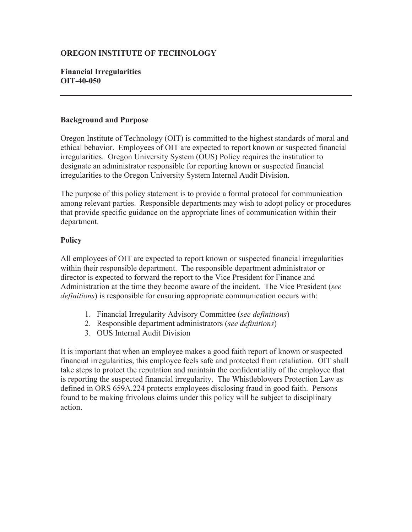# **OREGON INSTITUTE OF TECHNOLOGY**

# **Financial Irregularities OIT-40-050**

#### **Background and Purpose**

Oregon Institute of Technology (OIT) is committed to the highest standards of moral and ethical behavior. Employees of OIT are expected to report known or suspected financial irregularities. Oregon University System (OUS) Policy requires the institution to designate an administrator responsible for reporting known or suspected financial irregularities to the Oregon University System Internal Audit Division.

The purpose of this policy statement is to provide a formal protocol for communication among relevant parties. Responsible departments may wish to adopt policy or procedures that provide specific guidance on the appropriate lines of communication within their department.

# **Policy**

All employees of OIT are expected to report known or suspected financial irregularities within their responsible department. The responsible department administrator or director is expected to forward the report to the Vice President for Finance and Administration at the time they become aware of the incident. The Vice President (*see definitions*) is responsible for ensuring appropriate communication occurs with:

- 1. Financial Irregularity Advisory Committee (*see definitions*)
- 2. Responsible department administrators (*see definitions*)
- 3. OUS Internal Audit Division

It is important that when an employee makes a good faith report of known or suspected financial irregularities, this employee feels safe and protected from retaliation. OIT shall take steps to protect the reputation and maintain the confidentiality of the employee that is reporting the suspected financial irregularity. The Whistleblowers Protection Law as defined in ORS 659A.224 protects employees disclosing fraud in good faith. Persons found to be making frivolous claims under this policy will be subject to disciplinary action.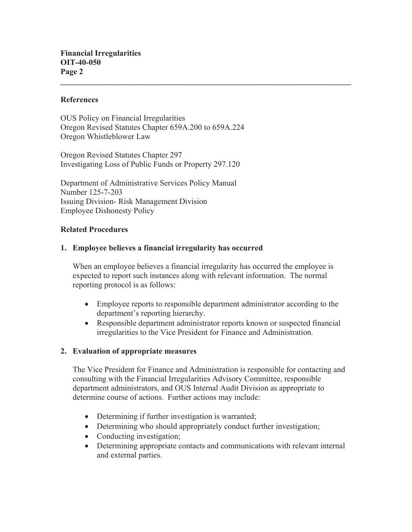#### **References**

OUS Policy on Financial Irregularities Oregon Revised Statutes Chapter 659A.200 to 659A.224 Oregon Whistleblower Law

Oregon Revised Statutes Chapter 297 Investigating Loss of Public Funds or Property 297.120

Department of Administrative Services Policy Manual Number 125-7-203 Issuing Division- Risk Management Division Employee Dishonesty Policy

#### **Related Procedures**

### **1. Employee believes a financial irregularity has occurred**

When an employee believes a financial irregularity has occurred the employee is expected to report such instances along with relevant information. The normal reporting protocol is as follows:

 $\mathcal{L}_\mathcal{L} = \{ \mathcal{L}_\mathcal{L} = \{ \mathcal{L}_\mathcal{L} = \{ \mathcal{L}_\mathcal{L} = \{ \mathcal{L}_\mathcal{L} = \{ \mathcal{L}_\mathcal{L} = \{ \mathcal{L}_\mathcal{L} = \{ \mathcal{L}_\mathcal{L} = \{ \mathcal{L}_\mathcal{L} = \{ \mathcal{L}_\mathcal{L} = \{ \mathcal{L}_\mathcal{L} = \{ \mathcal{L}_\mathcal{L} = \{ \mathcal{L}_\mathcal{L} = \{ \mathcal{L}_\mathcal{L} = \{ \mathcal{L}_\mathcal{$ 

- Employee reports to responsible department administrator according to the department's reporting hierarchy.
- Responsible department administrator reports known or suspected financial irregularities to the Vice President for Finance and Administration.

### **2. Evaluation of appropriate measures**

The Vice President for Finance and Administration is responsible for contacting and consulting with the Financial Irregularities Advisory Committee, responsible department administrators, and OUS Internal Audit Division as appropriate to determine course of actions. Further actions may include:

- Determining if further investigation is warranted;
- Determining who should appropriately conduct further investigation;
- Conducting investigation;
- Determining appropriate contacts and communications with relevant internal and external parties.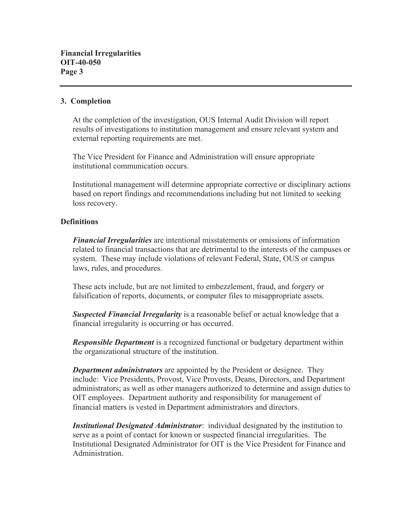### **3. Completion**

At the completion of the investigation, OUS Internal Audit Division will report results of investigations to institution management and ensure relevant system and external reporting requirements are met.

The Vice President for Finance and Administration will ensure appropriate institutional communication occurs.

Institutional management will determine appropriate corrective or disciplinary actions based on report findings and recommendations including but not limited to seeking loss recovery.

### **Definitions**

*Financial Irregularities* are intentional misstatements or omissions of information related to financial transactions that are detrimental to the interests of the campuses or system. These may include violations of relevant Federal, State, OUS or campus laws, rules, and procedures.

These acts include, but are not limited to embezzlement, fraud, and forgery or falsification of reports, documents, or computer files to misappropriate assets.

*Suspected Financial Irregularity* is a reasonable belief or actual knowledge that a financial irregularity is occurring or has occurred.

*Responsible Department* is a recognized functional or budgetary department within the organizational structure of the institution.

*Department administrators* are appointed by the President or designee. They include: Vice Presidents, Provost, Vice Provosts, Deans, Directors, and Department administrators; as well as other managers authorized to determine and assign duties to OIT employees. Department authority and responsibility for management of financial matters is vested in Department administrators and directors.

*Institutional Designated Administrator*: individual designated by the institution to serve as a point of contact for known or suspected financial irregularities. The Institutional Designated Administrator for OIT is the Vice President for Finance and Administration.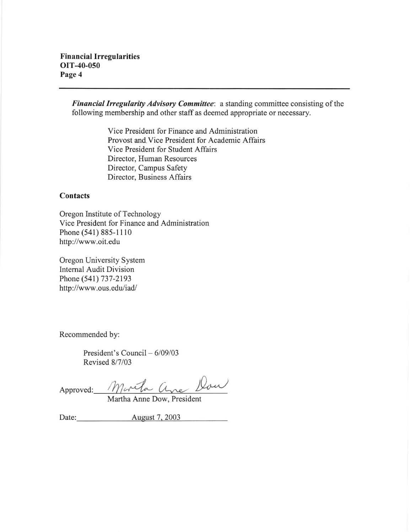Financial Irregularity Advisory Committee: a standing committee consisting of the following membership and other staff as deemed appropriate or necessary.

> Vice President for Finance and Administration Provost and. Vice President for Academic Aflairs Vice President for Student Affairs Director, Human Resources Director, Campus Safety Director, Business Affairs

#### **Contacts**

Oregon Institute of Technology Vice President for Finance and Administration Phone (541) 885-1110 http://www.oit.edu

Oregon University System Intemal Audit Division Phone (541) 737-2193 http ://www.ous. edu/iad/

Recommended by:

President's Council  $-6/09/03$ Revised 8/7/03

Approved: Marcha ane Don

Martha Anne Dow, President

Date: August 7, 2003